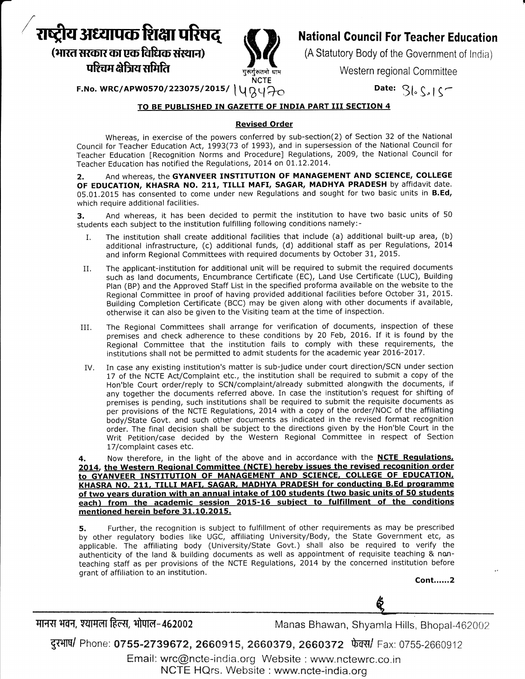# राष्ट्रीय अध्यापक शिक्षा परिषद

(भारत सरकार का एक विधिक संस्थान) पश्चिम क्षेत्रिय समिति



## **National Council For Teacher Education**

(A Statutory Body of the Government of India)

Western regional Committee

Date:  $S\left\lfloor \int_S \right\rfloor$ 

F.No. WRC/APW0570/223075/2015/  $\Uparrow \big\vee \big\vee \big\vee$ 

### TO BE PUBLISHED IN GAZETTE OF INDIA PART III SECTION 4

#### **Revised Order**

Whereas, in exercise of the powers conferred by sub-section(2) of Section 32 of the National Council for Teacher Education Act, 1993(73 of 1993), and in supersession of the National Council for Teacher Education [Recognition Norms and Procedure] Regulations, 2009, the National Council for Teacher Education has notified the Regulations, 2014 on 01.12.2014.

And whereas, the GYANVEER INSTITUTION OF MANAGEMENT AND SCIENCE, COLLEGE 2. OF EDUCATION, KHASRA NO. 211, TILLI MAFI, SAGAR, MADHYA PRADESH by affidavit date. 05.01.2015 has consented to come under new Regulations and sought for two basic units in B.Ed, which require additional facilities.

And whereas, it has been decided to permit the institution to have two basic units of 50 3. students each subject to the institution fulfilling following conditions namely:-

- The institution shall create additional facilities that include (a) additional built-up area, (b) Ι. additional infrastructure, (c) additional funds, (d) additional staff as per Regulations, 2014 and inform Regional Committees with required documents by October 31, 2015.
- The applicant-institution for additional unit will be required to submit the required documents II. such as land documents, Encumbrance Certificate (EC), Land Use Certificate (LUC), Building Plan (BP) and the Approved Staff List in the specified proforma available on the website to the Regional Committee in proof of having provided additional facilities before October 31, 2015. Building Completion Certificate (BCC) may be given along with other documents if available, otherwise it can also be given to the Visiting team at the time of inspection.
- The Regional Committees shall arrange for verification of documents, inspection of these III. premises and check adherence to these conditions by 20 Feb, 2016. If it is found by the Regional Committee that the institution fails to comply with these requirements, the institutions shall not be permitted to admit students for the academic year 2016-2017.
- In case any existing institution's matter is sub-judice under court direction/SCN under section IV. 17 of the NCTE Act/Complaint etc., the institution shall be required to submit a copy of the Hon'ble Court order/reply to SCN/complaint/already submitted alongwith the documents, if any together the documents referred above. In case the institution's request for shifting of premises is pending, such institutions shall be required to submit the requisite documents as per provisions of the NCTE Regulations, 2014 with a copy of the order/NOC of the affiliating body/State Govt. and such other documents as indicated in the revised format recognition order. The final decision shall be subject to the directions given by the Hon'ble Court in the Writ Petition/case decided by the Western Regional Committee in respect of Section 17/complaint cases etc.

Now therefore, in the light of the above and in accordance with the **NCTE Regulations**, 4. 2014, the Western Regional Committee (NCTE) hereby issues the revised recognition order to GYANVEER INSTITUTION OF MANAGEMENT AND SCIENCE, COLLEGE OF EDUCATION, KHASRA NO. 211, TILLI MAFI, SAGAR, MADHYA PRADESH for conducting B.Ed programme of two years duration with an annual intake of 100 students (two basic units of 50 students each) from the academic session 2015-16 subject to fulfillment of the conditions mentioned herein before 31.10.2015.

Further, the recognition is subject to fulfillment of other requirements as may be prescribed 5. by other regulatory bodies like UGC, affiliating University/Body, the State Government etc, as applicable. The affiliating body (University/State Govt.) shall also be required to verify the authenticity of the land & building documents as well as appointment of requisite teaching & nonteaching staff as per provisions of the NCTE Regulations, 2014 by the concerned institution before grant of affiliation to an institution.

**Cont......2** 

मानस भवन, श्यामला हिल्स, भोपाल-462002

Manas Bhawan, Shyamla Hills, Bhopal-462002

दुरभाष/ Phone: 0755-2739672, 2660915, 2660379, 2660372 फेक्स/ Fax: 0755-2660912

Email: wrc@ncte-india.org Website : www.nctewrc.co.in NCTE HQrs. Website: www.ncte-india.org